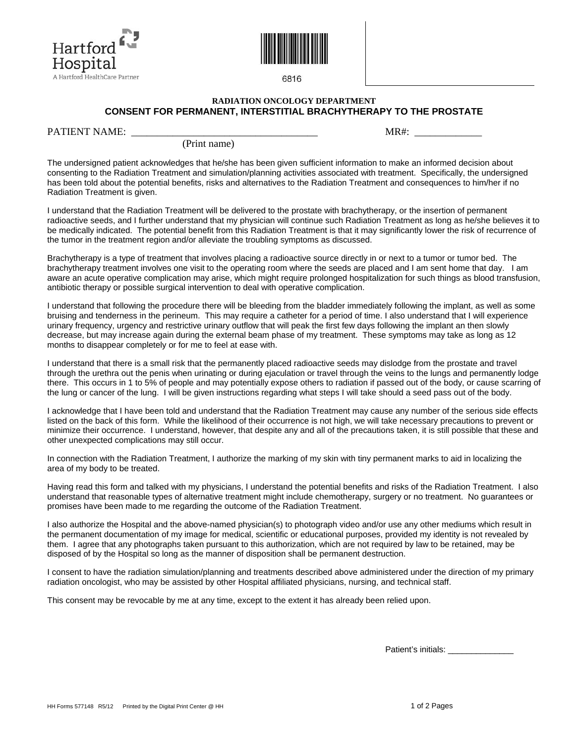



6816

## **RADIATION ONCOLOGY DEPARTMENT CONSENT FOR PERMANENT, INTERSTITIAL BRACHYTHERAPY TO THE PROSTATE**

PATIENT NAME: \_\_\_\_\_\_\_\_\_\_\_\_\_\_\_\_\_\_\_\_\_\_\_\_\_\_\_\_\_\_\_\_\_\_\_\_ MR#: \_\_\_\_\_\_\_\_\_\_\_\_\_

## (Print name)

The undersigned patient acknowledges that he/she has been given sufficient information to make an informed decision about consenting to the Radiation Treatment and simulation/planning activities associated with treatment. Specifically, the undersigned has been told about the potential benefits, risks and alternatives to the Radiation Treatment and consequences to him/her if no Radiation Treatment is given.

I understand that the Radiation Treatment will be delivered to the prostate with brachytherapy, or the insertion of permanent radioactive seeds, and I further understand that my physician will continue such Radiation Treatment as long as he/she believes it to be medically indicated. The potential benefit from this Radiation Treatment is that it may significantly lower the risk of recurrence of the tumor in the treatment region and/or alleviate the troubling symptoms as discussed.

Brachytherapy is a type of treatment that involves placing a radioactive source directly in or next to a tumor or tumor bed. The brachytherapy treatment involves one visit to the operating room where the seeds are placed and I am sent home that day. I am aware an acute operative complication may arise, which might require prolonged hospitalization for such things as blood transfusion, antibiotic therapy or possible surgical intervention to deal with operative complication.

I understand that following the procedure there will be bleeding from the bladder immediately following the implant, as well as some bruising and tenderness in the perineum. This may require a catheter for a period of time. I also understand that I will experience urinary frequency, urgency and restrictive urinary outflow that will peak the first few days following the implant an then slowly decrease, but may increase again during the external beam phase of my treatment. These symptoms may take as long as 12 months to disappear completely or for me to feel at ease with.

I understand that there is a small risk that the permanently placed radioactive seeds may dislodge from the prostate and travel through the urethra out the penis when urinating or during ejaculation or travel through the veins to the lungs and permanently lodge there. This occurs in 1 to 5% of people and may potentially expose others to radiation if passed out of the body, or cause scarring of the lung or cancer of the lung. I will be given instructions regarding what steps I will take should a seed pass out of the body.

I acknowledge that I have been told and understand that the Radiation Treatment may cause any number of the serious side effects listed on the back of this form. While the likelihood of their occurrence is not high, we will take necessary precautions to prevent or minimize their occurrence. I understand, however, that despite any and all of the precautions taken, it is still possible that these and other unexpected complications may still occur.

In connection with the Radiation Treatment, I authorize the marking of my skin with tiny permanent marks to aid in localizing the area of my body to be treated.

Having read this form and talked with my physicians, I understand the potential benefits and risks of the Radiation Treatment. I also understand that reasonable types of alternative treatment might include chemotherapy, surgery or no treatment. No guarantees or promises have been made to me regarding the outcome of the Radiation Treatment.

I also authorize the Hospital and the above-named physician(s) to photograph video and/or use any other mediums which result in the permanent documentation of my image for medical, scientific or educational purposes, provided my identity is not revealed by them. I agree that any photographs taken pursuant to this authorization, which are not required by law to be retained, may be disposed of by the Hospital so long as the manner of disposition shall be permanent destruction.

I consent to have the radiation simulation/planning and treatments described above administered under the direction of my primary radiation oncologist, who may be assisted by other Hospital affiliated physicians, nursing, and technical staff.

This consent may be revocable by me at any time, except to the extent it has already been relied upon.

Patient's initials: